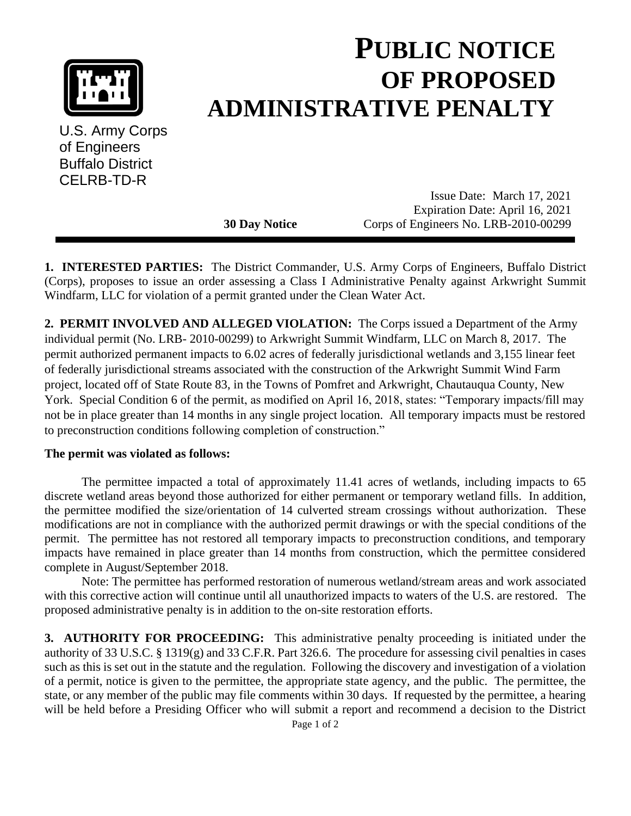

U.S. Army Corps of Engineers Buffalo District CELRB-TD-R

## **PUBLIC NOTICE OF PROPOSED ADMINISTRATIVE PENALTY**

Issue Date: March 17, 2021 Expiration Date: April 16, 2021 **30 Day Notice** Corps of Engineers No. LRB-2010-00299

**1. INTERESTED PARTIES:** The District Commander, U.S. Army Corps of Engineers, Buffalo District (Corps), proposes to issue an order assessing a Class I Administrative Penalty against Arkwright Summit Windfarm, LLC for violation of a permit granted under the Clean Water Act.

**2. PERMIT INVOLVED AND ALLEGED VIOLATION:** The Corps issued a Department of the Army individual permit (No. LRB- 2010-00299) to Arkwright Summit Windfarm, LLC on March 8, 2017. The permit authorized permanent impacts to 6.02 acres of federally jurisdictional wetlands and 3,155 linear feet of federally jurisdictional streams associated with the construction of the Arkwright Summit Wind Farm project, located off of State Route 83, in the Towns of Pomfret and Arkwright, Chautauqua County, New York. Special Condition 6 of the permit, as modified on April 16, 2018, states: "Temporary impacts/fill may not be in place greater than 14 months in any single project location. All temporary impacts must be restored to preconstruction conditions following completion of construction."

## **The permit was violated as follows:**

The permittee impacted a total of approximately 11.41 acres of wetlands, including impacts to 65 discrete wetland areas beyond those authorized for either permanent or temporary wetland fills. In addition, the permittee modified the size/orientation of 14 culverted stream crossings without authorization. These modifications are not in compliance with the authorized permit drawings or with the special conditions of the permit. The permittee has not restored all temporary impacts to preconstruction conditions, and temporary impacts have remained in place greater than 14 months from construction, which the permittee considered complete in August/September 2018.

Note: The permittee has performed restoration of numerous wetland/stream areas and work associated with this corrective action will continue until all unauthorized impacts to waters of the U.S. are restored. The proposed administrative penalty is in addition to the on-site restoration efforts.

**3. AUTHORITY FOR PROCEEDING:** This administrative penalty proceeding is initiated under the authority of 33 U.S.C. § 1319(g) and 33 C.F.R. Part 326.6. The procedure for assessing civil penalties in cases such as this is set out in the statute and the regulation. Following the discovery and investigation of a violation of a permit, notice is given to the permittee, the appropriate state agency, and the public. The permittee, the state, or any member of the public may file comments within 30 days. If requested by the permittee, a hearing will be held before a Presiding Officer who will submit a report and recommend a decision to the District